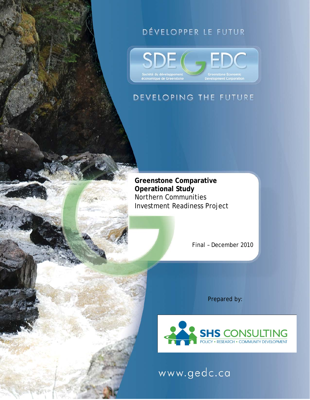# DÉVELOPPER LE FUTUR



# DEVELOPING THE FUTURE

**Greenstone Comparative Operational Study**  Northern Communities Investment Readiness Project

Final – December 2010

Prepared by:



www.gedc.ca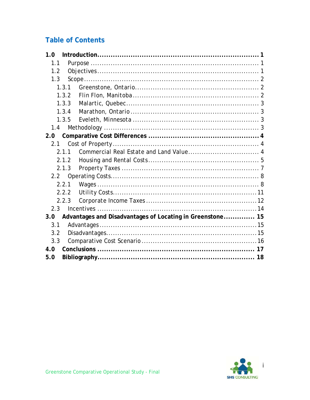# **Table of Contents**

| 1.0     |         |                                                           |  |
|---------|---------|-----------------------------------------------------------|--|
| 1.1     |         |                                                           |  |
| 1.2     |         |                                                           |  |
| 1.3     |         |                                                           |  |
|         | 1, 3, 1 |                                                           |  |
|         | 1.3.2   |                                                           |  |
|         | 1.3.3   |                                                           |  |
|         | 1, 3, 4 |                                                           |  |
|         | 1.3.5   |                                                           |  |
| 1.4     |         |                                                           |  |
| 2.0     |         |                                                           |  |
| 2.1     |         |                                                           |  |
|         |         |                                                           |  |
|         |         |                                                           |  |
|         | 2.1.3   |                                                           |  |
|         |         |                                                           |  |
|         | 2.2.1   |                                                           |  |
|         | 2.2.2   |                                                           |  |
|         | 2.2.3   |                                                           |  |
| $2.3 -$ |         |                                                           |  |
| 3.0     |         | Advantages and Disadvantages of Locating in Greenstone 15 |  |
| 3.1     |         |                                                           |  |
| 3.2     |         |                                                           |  |
| 3.3     |         |                                                           |  |
| 4.0     |         |                                                           |  |
| 5.0     |         |                                                           |  |

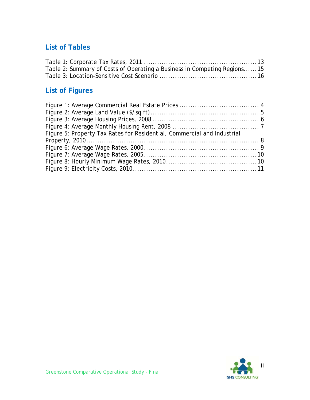### **List of Tables**

| Table 2: Summary of Costs of Operating a Business in Competing Regions15 |  |
|--------------------------------------------------------------------------|--|
|                                                                          |  |

# **List of Figures**

| Figure 5: Property Tax Rates for Residential, Commercial and Industrial |  |
|-------------------------------------------------------------------------|--|
|                                                                         |  |
|                                                                         |  |
|                                                                         |  |
|                                                                         |  |
|                                                                         |  |

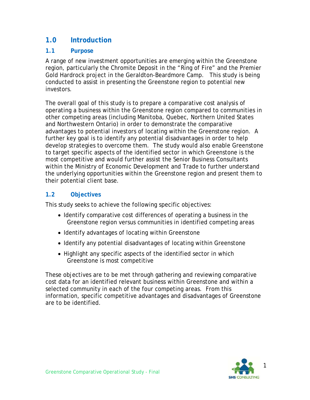### **1.0 Introduction**

#### **1.1 Purpose**

A range of new investment opportunities are emerging within the Greenstone region, particularly the Chromite Deposit in the "Ring of Fire" and the Premier Gold Hardrock project in the Geraldton-Beardmore Camp. This study is being conducted to assist in presenting the Greenstone region to potential new investors.

The overall goal of this study is to prepare a comparative cost analysis of operating a business within the Greenstone region compared to communities in other competing areas (including Manitoba, Quebec, Northern United States and Northwestern Ontario) in order to demonstrate the comparative advantages to potential investors of locating within the Greenstone region. A further key goal is to identify any potential disadvantages in order to help develop strategies to overcome them. The study would also enable Greenstone to target specific aspects of the identified sector in which Greenstone is the most competitive and would further assist the Senior Business Consultants within the Ministry of Economic Development and Trade to further understand the underlying opportunities within the Greenstone region and present them to their potential client base.

#### **1.2 Objectives**

This study seeks to achieve the following specific objectives:

- Identify comparative cost differences of operating a business in the Greenstone region versus communities in identified competing areas
- Identify advantages of locating within Greenstone
- Identify any potential disadvantages of locating within Greenstone
- Highlight any specific aspects of the identified sector in which Greenstone is most competitive

These objectives are to be met through gathering and reviewing comparative cost data for an identified relevant business within Greenstone and within a selected community in each of the four competing areas. From this information, specific competitive advantages and disadvantages of Greenstone are to be identified.

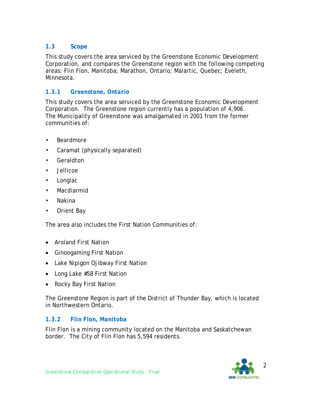#### **1.3 Scope**

This study covers the area serviced by the Greenstone Economic Development Corporation, and compares the Greenstone region with the following competing areas: Flin Flon, Manitoba; Marathon, Ontario; Malartic, Quebec; Eveleth, Minnesota.

#### *1.3.1 Greenstone, Ontario*

This study covers the area serviced by the Greenstone Economic Development Corporation. The Greenstone region currently has a population of 4,906. The Municipality of Greenstone was amalgamated in 2001 from the former communities of:

- Beardmore
- Caramat (physically separated)
- Geraldton
- Jellicoe
- Longlac
- Macdiarmid
- Nakina
- Orient Bay

The area also includes the First Nation Communities of:

- Aroland First Nation
- Ginoogaming First Nation
- Lake Nipigon Ojibway First Nation
- Long Lake #58 First Nation
- Rocky Bay First Nation

The Greenstone Region is part of the District of Thunder Bay, which is located in Northwestern Ontario.

#### *1.3.2 Flin Flon, Manitoba*

Flin Flon is a mining community located on the Manitoba and Saskatchewan border. The City of Flin Flon has 5,594 residents.

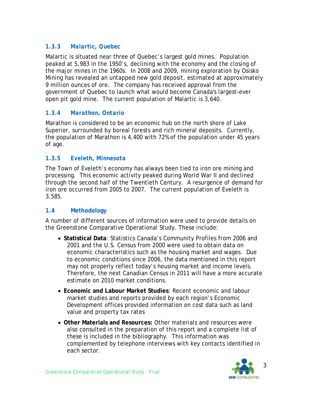#### *1.3.3 Malartic, Quebec*

Malartic is situated near three of Quebec's largest gold mines. Population peaked at 5,983 in the 1950's, declining with the economy and the closing of the major mines in the 1960s. In 2008 and 2009, mining exploration by Osisko Mining has revealed an untapped new gold deposit, estimated at approximately 9 million ounces of ore. The company has received approval from the government of Quebec to launch what would become Canada's largest-ever open pit gold mine. The current population of Malartic is 3,640.

#### *1.3.4 Marathon, Ontario*

Marathon is considered to be an economic hub on the north shore of Lake Superior, surrounded by boreal forests and rich mineral deposits. Currently, the population of Marathon is 4,400 with 72% of the population under 45 years of age.

#### *1.3.5 Eveleth, Minnesota*

The Town of Eveleth's economy has always been tied to iron ore mining and processing. This economic activity peaked during World War II and declined through the second half of the Twentieth Century. A resurgence of demand for iron ore occurred from 2005 to 2007. The current population of Eveleth is 3,585.

#### **1.4 Methodology**

A number of different sources of information were used to provide details on the Greenstone Comparative Operational Study. These include:

- **Statistical Data**: Statistics Canada's Community Profiles from 2006 and 2001 and the U.S. Census from 2000 were used to obtain data on economic characteristics such as the housing market and wages. Due to economic conditions since 2006, the data mentioned in this report may not properly reflect today's housing market and income levels. Therefore, the next Canadian Census in 2011 will have a more accurate estimate on 2010 market conditions.
- **Economic and Labour Market Studies**: Recent economic and labour market studies and reports provided by each region's Economic Development offices provided information on cost data such as land value and property tax rates
- **Other Materials and Resources:** Other materials and resources were also consulted in the preparation of this report and a complete list of these is included in the bibliography. This information was complemented by telephone interviews with key contacts identified in each sector.

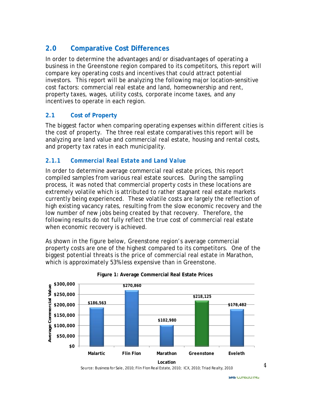# **2.0 Comparative Cost Differences**

In order to determine the advantages and/or disadvantages of operating a business in the Greenstone region compared to its competitors, this report will compare key operating costs and incentives that could attract potential investors. This report will be analyzing the following major location-sensitive cost factors: commercial real estate and land, homeownership and rent, property taxes, wages, utility costs, corporate income taxes, and any incentives to operate in each region.

#### **2.1 Cost of Property**

The biggest factor when comparing operating expenses within different cities is the cost of property. The three real estate comparatives this report will be analyzing are land value and commercial real estate, housing and rental costs, and property tax rates in each municipality.

#### *2.1.1 Commercial Real Estate and Land Value*

In order to determine average commercial real estate prices, this report compiled samples from various real estate sources. During the sampling process, it was noted that commercial property costs in these locations are extremely volatile which is attributed to rather stagnant real estate markets currently being experienced. These volatile costs are largely the reflection of high existing vacancy rates, resulting from the slow economic recovery and the low number of new jobs being created by that recovery. Therefore, the following results do not fully reflect the true cost of commercial real estate when economic recovery is achieved.

As shown in the figure below, Greenstone region's average commercial property costs are one of the highest compared to its competitors. One of the biggest potential threats is the price of commercial real estate in Marathon, which is approximately 53% less expensive than in Greenstone.



#### **Figure 1: Average Commercial Real Estate Prices**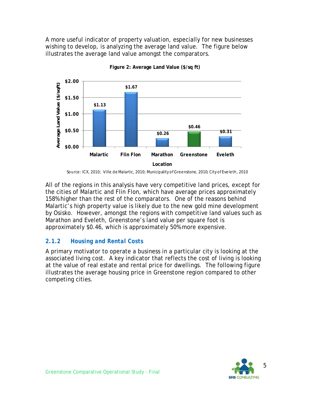A more useful indicator of property valuation, especially for new businesses wishing to develop, is analyzing the average land value. The figure below illustrates the average land value amongst the comparators.



**Figure 2: Average Land Value (\$/sq ft)** 

All of the regions in this analysis have very competitive land prices, except for the cities of Malartic and Flin Flon, which have average prices approximately 158% higher than the rest of the comparators. One of the reasons behind Malartic's high property value is likely due to the new gold mine development by Osisko. However, amongst the regions with competitive land values such as Marathon and Eveleth, Greenstone's land value per square foot is approximately \$0.46, which is approximately 50% more expensive.

#### *2.1.2 Housing and Rental Costs*

A primary motivator to operate a business in a particular city is looking at the associated living cost. A key indicator that reflects the cost of living is looking at the value of real estate and rental price for dwellings. The following figure illustrates the average housing price in Greenstone region compared to other competing cities.



Source: ICX, 2010; Ville de Malartic, 2010; Municipality of Greenstone, 2010; City of Eveleth, 2010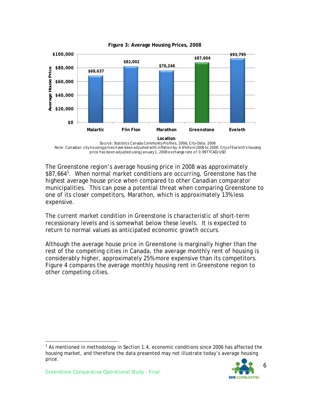

**Figure 3: Average Housing Prices, 2008** 

Source: Statistics Canada Community Profiles, 2006; City-Data, 2008 Note: Canadian city housing prices have been adjusted with inflation by 4.6% from 2006 to 2008; City of Eveleth's housing price has been adjusted using January 1, 2008 exchange rate of 0.9977CAD/USD

The Greenstone region's average housing price in 2008 was approximately \$87,664<sup>1</sup>. When normal market conditions are occurring, Greenstone has the highest average house price when compared to other Canadian comparator municipalities. This can pose a potential threat when comparing Greenstone to one of its closer competitors, Marathon, which is approximately 13% less expensive.

The current market condition in Greenstone is characteristic of short-term recessionary levels and is somewhat below these levels. It is expected to return to normal values as anticipated economic growth occurs.

Although the average house price in Greenstone is marginally higher than the rest of the competing cities in Canada, the average monthly rent of housing is considerably higher, approximately 25% more expensive than its competitors. Figure 4 compares the average monthly housing rent in Greenstone region to other competing cities.

<sup>&</sup>lt;sup>1</sup> As mentioned in methodology in Section 1.4, economic conditions since 2006 has affected the housing market, and therefore the data presented may not illustrate today's average housing price.



l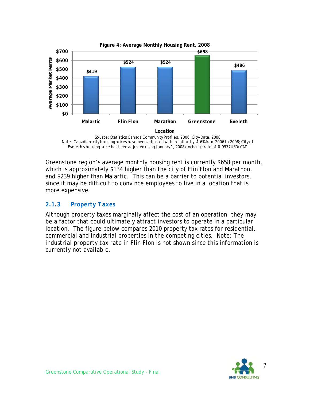

Source: Statistics Canada Community Profiles, 2006; City-Data, 2008 Note: Canadian city housing prices have been adjusted with inflation by 4.6% from 2006 to 2008; City of Eveleth's housing price has been adjusted using January 1, 2008 exchange rate of 0.9977USD/CAD

Greenstone region's average monthly housing rent is currently \$658 per month, which is approximately \$134 higher than the city of Flin Flon and Marathon, and \$239 higher than Malartic. This can be a barrier to potential investors, since it may be difficult to convince employees to live in a location that is more expensive.

#### *2.1.3 Property Taxes*

Although property taxes marginally affect the cost of an operation, they may be a factor that could ultimately attract investors to operate in a particular location. The figure below compares 2010 property tax rates for residential, commercial and industrial properties in the competing cities. *Note: The industrial property tax rate in Flin Flon is not shown since this information is currently not available.* 

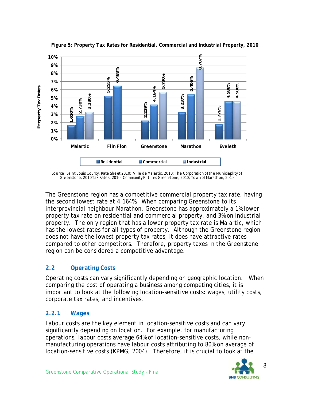

**Figure 5: Property Tax Rates for Residential, Commercial and Industrial Property, 2010**

Source: Saint Louis County, Rate Sheet 2010; Ville de Malartic, 2010; The Corporation of the Municiaplity of Greenstone, 2010 Tax Rates, 2010; Community Futures Greenstone, 2010; Town of Marathon, 2010

The Greenstone region has a competitive commercial property tax rate, having the second lowest rate at 4.164%. When comparing Greenstone to its interprovincial neighbour Marathon, Greenstone has approximately a 1% lower property tax rate on residential and commercial property, and 3% on industrial property. The only region that has a lower property tax rate is Malartic, which has the lowest rates for all types of property. Although the Greenstone region does not have the lowest property tax rates, it does have attractive rates compared to other competitors. Therefore, property taxes in the Greenstone region can be considered a competitive advantage.

#### **2.2 Operating Costs**

Operating costs can vary significantly depending on geographic location. When comparing the cost of operating a business among competing cities, it is important to look at the following location-sensitive costs: wages, utility costs, corporate tax rates, and incentives.

#### *2.2.1 Wages*

Labour costs are the key element in location-sensitive costs and can vary significantly depending on location. For example, for manufacturing operations, labour costs average 64% of location-sensitive costs, while nonmanufacturing operations have labour costs attributing to 80% on average of

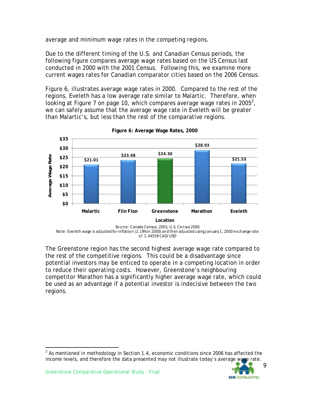average and minimum wage rates in the competing regions.

Due to the different timing of the U.S. and Canadian Census periods, the following figure compares average wage rates based on the US Census last conducted in 2000 with the 2001 Census. Following this, we examine more current wages rates for Canadian comparator cities based on the 2006 Census.

Figure 6, illustrates average wage rates in 2000. Compared to the rest of the regions, Eveleth has a low average rate similar to Malartic. Therefore, when looking at Figure 7 on page 10, which compares average wage rates in 2005<sup>2</sup>, we can safely assume that the average wage rate in Eveleth will be greater than Malartic's, but less than the rest of the comparative regions.



**Figure 6: Average Wage Rates, 2000** 

The Greenstone region has the second highest average wage rate compared to the rest of the competitive regions. This could be a disadvantage since potential investors may be enticed to operate in a competing location in order to reduce their operating costs. However, Greenstone's neighbouring competitor Marathon has a significantly higher average wage rate, which could be used as an advantage if a potential investor is indecisive between the two regions.

 $2$  As mentioned in methodology in Section 1.4, economic conditions since 2006 has affected the income levels, and therefore the data presented may not illustrate today's average wage rate.



l

Note: Eveleth wage is adjusted for inflation (2.19% in 2000) and then adjusted using January 1, 2000 exchange rate of 1.44559 CAD/USD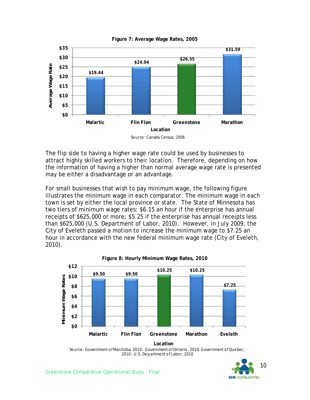

**Figure 7: Average Wage Rates, 2005** 

The flip side to having a higher wage rate could be used by businesses to attract highly skilled workers to their location. Therefore, depending on how the information of having a higher than normal average wage rate is presented may be either a disadvantage or an advantage.

For small businesses that wish to pay minimum wage, the following figure illustrates the minimum wage in each comparator. The minimum wage in each town is set by either the local province or state. The State of Minnesota has two tiers of minimum wage rates: \$6.15 an hour if the enterprise has annual receipts of \$625,000 or more; \$5.25 if the enterprise has annual receipts less than \$625,000 (U.S. Department of Labor, 2010). However, in July 2009, the City of Eveleth passed a motion to increase the minimum wage to \$7.25 an hour in accordance with the new federal minimum wage rate (City of Eveleth, 2010).



Source: Government of Manitoba, 2010; Government of Ontario, 2010; Government of Quebec, 2010 ; U.S. Department of Labor, 2010

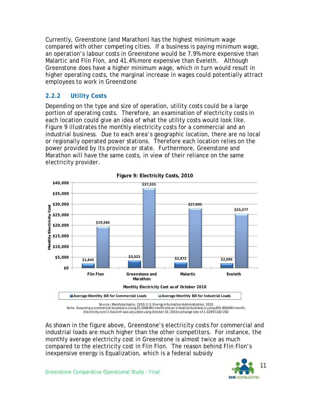Currently, Greenstone (and Marathon) has the highest minimum wage compared with other competing cities. If a business is paying minimum wage, an operation's labour costs in Greenstone would be 7.9% more expensive than Malartic and Flin Flon, and 41.4% more expensive than Eveleth. Although Greenstone does have a higher minimum wage, which in turn would result in higher operating costs, the marginal increase in wages could potentially attract employees to work in Greenstone

#### *2.2.2 Utility Costs*

Depending on the type and size of operation, utility costs could be a large portion of operating costs. Therefore, an examination of electricity costs in each location could give an idea of what the utility costs would look like. Figure 9 illustrates the monthly electricity costs for a commercial and an industrial business. Due to each area's geographic location, there are no local or regionally operated power stations. Therefore each location relies on the power provided by its province or state. Furthermore, Greenstone and Marathon will have the same costs, in view of their reliance on the same electricity provider.



**Figure 9: Electricity Costs, 2010** 

Source: Manitoba Hydro, 2010; U.S. Energy Information Administration, 2010 Note: Assuming a commercial business is using 25,000kWh/month and an industrial business is using 400,000kWh/month; Electricitycost in Eveleth was adjusted using October 19, 2010 exchange rate of 1.0299 CAD/USD

As shown in the figure above, Greenstone's electricity costs for commercial and industrial loads are much higher than the other competitors. For instance, the monthly average electricity cost in Greenstone is almost twice as much compared to the electricity cost in Flin Flon. The reason behind Flin Flon's inexpensive energy is Equalization, which is a federal subsidy

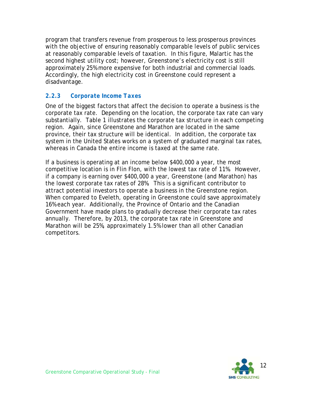program that transfers revenue from prosperous to less prosperous provinces with the objective of ensuring reasonably comparable levels of public services at reasonably comparable levels of taxation. In this figure, Malartic has the second highest utility cost; however, Greenstone's electricity cost is still approximately 25% more expensive for both industrial and commercial loads. Accordingly, the high electricity cost in Greenstone could represent a disadvantage.

#### *2.2.3 Corporate Income Taxes*

One of the biggest factors that affect the decision to operate a business is the corporate tax rate. Depending on the location, the corporate tax rate can vary substantially. Table 1 illustrates the corporate tax structure in each competing region. Again, since Greenstone and Marathon are located in the same province, their tax structure will be identical. In addition, the corporate tax system in the United States works on a system of graduated marginal tax rates, whereas in Canada the entire income is taxed at the same rate.

If a business is operating at an income below \$400,000 a year, the most competitive location is in Flin Flon, with the lowest tax rate of 11%. However, if a company is earning over \$400,000 a year, Greenstone (and Marathon) has the lowest corporate tax rates of 28%. This is a significant contributor to attract potential investors to operate a business in the Greenstone region. When compared to Eveleth, operating in Greenstone could save approximately 16% each year. Additionally, the Province of Ontario and the Canadian Government have made plans to gradually decrease their corporate tax rates annually. Therefore, by 2013, the corporate tax rate in Greenstone and Marathon will be 25%, approximately 1.5% lower than all other Canadian competitors.

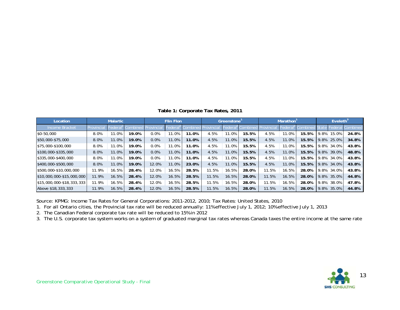|  | Table 1: Corporate Tax Rates, 2011 |  |  |
|--|------------------------------------|--|--|
|--|------------------------------------|--|--|

| Location                  | <b>Malartic</b> |       | <b>Flin Flon</b> |       | Greenstone |       | <b>Marathon</b> |        |         | Eveleth <sup>3</sup> |          |       |          |       |       |
|---------------------------|-----------------|-------|------------------|-------|------------|-------|-----------------|--------|---------|----------------------|----------|-------|----------|-------|-------|
| <b>Income Bracket</b>     | rovincia        |       |                  |       | edera      |       |                 | -edera | combine |                      | l Federa |       |          |       |       |
| $$0-50,000$               | 8.0%            | 1.0%  | 19.0%            | 0.0%  | 11.0%      | 11.0% | 4.5%            | 11.0%  | 15.5%   | 4.5%                 | 11.0%    | 15.5% | 9.8%     | 15.0% | 24.8% |
| \$50,000-\$75,000         | 8.0%            | 11.0% | 19.0%            | 0.0%  | 11.0%      | 11.0% | 4.5%            | 11.0%  | 15.5%   | 4.5%                 | 11.0%    | 15.5% | 9.8%     | 25.0% | 34.8% |
| \$75,000-\$100,000        | 8.0%            | 11.0% | 19.0%            | 0.0%  | 11.0%      | 11.0% | 4.5%            | 11.0%  | 15.5%   | 4.5%                 | 11.0%    | 15.5% | 9.8%     | 34.0% | 43.8% |
| \$100,000-\$335,000       | 8.0%            | 11.0% | 19.0%            | 0.0%  | 11.0%      | 11.0% | 4.5%            | 11.0%  | 15.5%   | 4.5%                 | 11.0%    | 15.5% | 9.8%     | 39.0% | 48.8% |
| \$335,000-\$400,000       | 8.0%            | 11.0% | 19.0%            | 0.0%  | 11.0%      | 11.0% | 4.5%            | 11.0%  | 15.5%   | 4.5%                 | 11.0%    | 15.5% | 9.8%     | 34.0% | 43.8% |
| \$400,000-\$500,000       | 8.0%            | 11.0% | 19.0%            | 12.0% | 11.0%      | 23.0% | 4.5%            | 11.0%  | 15.5%   | 4.5%                 | 11.0%    | 15.5% | 9.8%     | 34.0% | 43.8% |
| 1\$500,000-\$10,000,000   | 11.9%           | 16.5% | 28.4%            | 12.0% | 16.5%      | 28.5% | 11.5%           | 16.5%  | 28.0%   | 11.5%                | 16.5%    | 28.0% | 9.8%     | 34.0% | 43.8% |
| $$10,000,000-15,000,000$  | 11.9%           | 16.5% | 28.4%            | 12.0% | 16.5%      | 28.5% | 11.5%           | 16.5%  | 28.0%   | 11.5%                | 16.5%    | 28.0% | 9.8%     | 35.0% | 44.8% |
| $$15,000,000-$18,333,333$ | 11.9%           | 16.5% | 28.4%            | 12.0% | 16.5%      | 28.5% | 11.5%           | 16.5%  | 28.0%   | 11.5%                | 16.5%    | 28.0% | 9.8%     | 38.0% | 47.8% |
| Above \$18,333,333        | 11.9%           | 16.5% | 28.4%            | 12.0% | 16.5%      | 28.5% | 11.5%           | 16.5%  | 28.0%   | 11.5%                | 16.5%    | 28.0% | .8%<br>9 | 35.0% | 44.8% |

Source: KPMG: Income Tax Rates for General Corporations: 2011-2012, 2010; Tax Rates: United States, 2010

1. For all Ontario cities, the Provincial tax rate will be reduced annually: 11% effective July 1, 2012; 10% effective July 1, 2013

2. The Canadian Federal corporate tax rate will be reduced to 15% in 2012

3. The U.S. corporate tax system works on a system of graduated marginal tax rates whereas Canada taxes the entire income at the same rate

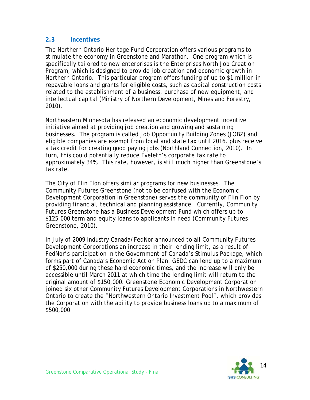#### **2.3 Incentives**

The Northern Ontario Heritage Fund Corporation offers various programs to stimulate the economy in Greenstone and Marathon. One program which is specifically tailored to new enterprises is the Enterprises North Job Creation Program, which is designed to provide job creation and economic growth in Northern Ontario. This particular program offers funding of up to \$1 million in repayable loans and grants for eligible costs, such as capital construction costs related to the establishment of a business, purchase of new equipment, and intellectual capital (Ministry of Northern Development, Mines and Forestry, 2010).

Northeastern Minnesota has released an economic development incentive initiative aimed at providing job creation and growing and sustaining businesses. The program is called Job Opportunity Building Zones (JOBZ) and eligible companies are exempt from local and state tax until 2016, plus receive a tax credit for creating good paying jobs (Northland Connection, 2010). In turn, this could potentially reduce Eveleth's corporate tax rate to approximately 34%. This rate, however, is still much higher than Greenstone's tax rate.

The City of Flin Flon offers similar programs for new businesses. The Community Futures Greenstone (not to be confused with the Economic Development Corporation in Greenstone) serves the community of Flin Flon by providing financial, technical and planning assistance. Currently, Community Futures Greenstone has a Business Development Fund which offers up to \$125,000 term and equity loans to applicants in need (Community Futures Greenstone, 2010).

In July of 2009 Industry Canada/FedNor announced to all Community Futures Development Corporations an increase in their lending limit, as a result of FedNor's participation in the Government of Canada's Stimulus Package, which forms part of Canada's Economic Action Plan. GEDC can lend up to a maximum of \$250,000 during these hard economic times, and the increase will only be accessible until March 2011 at which time the lending limit will return to the original amount of \$150,000. Greenstone Economic Development Corporation joined six other Community Futures Development Corporations in Northwestern Ontario to create the "Northwestern Ontario Investment Pool", which provides the Corporation with the ability to provide business loans up to a maximum of \$500,000

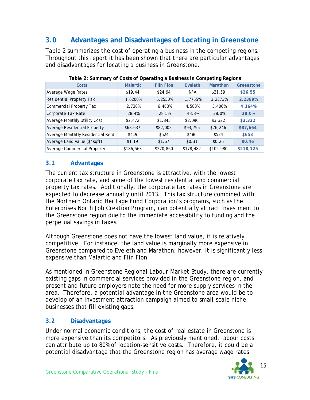# **3.0 Advantages and Disadvantages of Locating in Greenstone**

Table 2 summarizes the cost of operating a business in the competing regions. Throughout this report it has been shown that there are particular advantages and disadvantages for locating a business in Greenstone.

| Costs                             | <b>Malartic</b> | <b>Flin Flon</b>   | Eveleth   | Marathon  | Greenstone |
|-----------------------------------|-----------------|--------------------|-----------|-----------|------------|
| Average Wage Rates                | \$19.44         | \$24.94            | N/A       | \$31.59   | \$26.55    |
| <b>Residential Property Tax</b>   | 1.6200%         | 5.2550%<br>1.7755% |           | 3.2373%   | 2.2389%    |
| <b>Commercial Property Tax</b>    | 2.730%          | 6.488%             | 4.588%    | 5.406%    | 4.164%     |
| Corporate Tax Rate                | 28.4%           | 28.5%              | 43.8%     | 28.0%     | 28.0%      |
| Average Monthly Utility Cost      | \$2,472         | \$1,845            | \$2,096   | \$3,322   | \$3,322    |
| Average Residential Property      | \$68,637        | \$82,002           | \$93,795  | \$76,246  | \$87,664   |
| Average Monthtly Residential Rent | \$419           | \$524              | \$486     | \$524     | \$658      |
| Average Land Value (\$/sqft)      | \$1.19          | \$1.67             | \$0.31    | \$0.26    | \$0.46     |
| Average Commercial Property       | \$186,563       | \$270,860          | \$178,482 | \$102,980 | \$218,125  |

**Table 2: Summary of Costs of Operating a Business in Competing Regions** 

#### **3.1 Advantages**

The current tax structure in Greenstone is attractive, with the lowest corporate tax rate, and some of the lowest residential and commercial property tax rates. Additionally, the corporate tax rates in Greenstone are expected to decrease annually until 2013. This tax structure combined with the Northern Ontario Heritage Fund Corporation's programs, such as the Enterprises North Job Creation Program, can potentially attract investment to the Greenstone region due to the immediate accessibility to funding and the perpetual savings in taxes.

Although Greenstone does not have the lowest land value, it is relatively competitive. For instance, the land value is marginally more expensive in Greenstone compared to Eveleth and Marathon; however, it is significantly less expensive than Malartic and Flin Flon.

As mentioned in *Greenstone Regional Labour Market Study*, there are currently existing gaps in commercial services provided in the Greenstone region, and present and future employers note the need for more supply services in the area. Therefore, a potential advantage in the Greenstone area would be to develop of an investment attraction campaign aimed to small-scale niche businesses that fill existing gaps.

#### **3.2 Disadvantages**

Under normal economic conditions, the cost of real estate in Greenstone is more expensive than its competitors. As previously mentioned, labour costs can attribute up to 80% of location-sensitive costs. Therefore, it could be a potential disadvantage that the Greenstone region has average wage rates

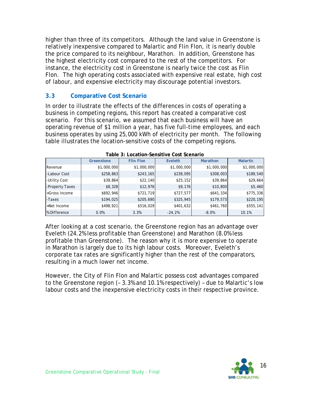higher than three of its competitors. Although the land value in Greenstone is relatively inexpensive compared to Malartic and Flin Flon, it is nearly double the price compared to its neighbour, Marathon. In addition, Greenstone has the highest electricity cost compared to the rest of the competitors. For instance, the electricity cost in Greenstone is nearly twice the cost as Flin Flon. The high operating costs associated with expensive real estate, high cost of labour, and expensive electricity may discourage potential investors.

#### **3.3 Comparative Cost Scenario**

In order to illustrate the effects of the differences in costs of operating a business in competing regions, this report has created a comparative cost scenario. For this scenario, we assumed that each business will have an operating revenue of \$1 million a year, has five full-time employees, and each business operates by using 25,000 kWh of electricity per month. The following table illustrates the location-sensitive costs of the competing regions.

| TUDIO OF EUGULIUIT JOHJILIVO UUJL JUOHUHU |             |                  |             |                 |                 |  |  |  |  |
|-------------------------------------------|-------------|------------------|-------------|-----------------|-----------------|--|--|--|--|
|                                           | Greenstone  | <b>Flin Flon</b> | Eveleth     | <b>Marathon</b> | <b>Malartic</b> |  |  |  |  |
| Revenue                                   | \$1,000,000 | \$1,000,000      | \$1,000,000 | \$1,000,000     | \$1,000,000     |  |  |  |  |
| -Labour Cost                              | \$258,863   | \$243,165        | \$238,095   | \$308,003       | \$189,540       |  |  |  |  |
| -Utility Cost                             | \$39,864    | \$22,140         | \$25,152    | \$39,864        | \$29,664]       |  |  |  |  |
| -Property Taxes                           | \$8,328     | \$12,976         | \$9,176     | \$10,800        | \$5,460         |  |  |  |  |
| =Gross Income                             | \$692,946   | \$721,719        | \$727,577   | \$641,334       | \$775,336       |  |  |  |  |
| -Taxes                                    | \$194,025   | \$205,690        | \$325,945   | \$179,573       | \$220,195       |  |  |  |  |
| $=$ Net Income                            | \$498,921   | \$516,029        | \$401,632   | \$461,760       | \$555,141       |  |  |  |  |
| % Difference                              | 0.0%        | 3.3%             | $-24.2%$    | $-8.0%$         | 10.1%           |  |  |  |  |

**Table 3: Location-Sensitive Cost Scenario** 

After looking at a cost scenario, the Greenstone region has an advantage over Eveleth (24.2% less profitable than Greenstone) and Marathon (8.0% less profitable than Greenstone). The reason why it is more expensive to operate in Marathon is largely due to its high labour costs. Moreover, Eveleth's corporate tax rates are significantly higher than the rest of the comparators, resulting in a much lower net income.

However, the City of Flin Flon and Malartic possess cost advantages compared to the Greenstone region (– 3.3% and 10.1% respectively) – due to Malartic's low labour costs and the inexpensive electricity costs in their respective province.

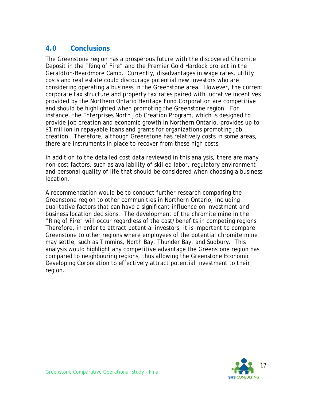## **4.0 Conclusions**

The Greenstone region has a prosperous future with the discovered Chromite Deposit in the "Ring of Fire" and the Premier Gold Hardock project in the Geraldton-Beardmore Camp. Currently, disadvantages in wage rates, utility costs and real estate could discourage potential new investors who are considering operating a business in the Greenstone area. However, the current corporate tax structure and property tax rates paired with lucrative incentives provided by the Northern Ontario Heritage Fund Corporation are competitive and should be highlighted when promoting the Greenstone region. For instance, the Enterprises North Job Creation Program, which is designed to provide job creation and economic growth in Northern Ontario, provides up to \$1 million in repayable loans and grants for organizations promoting job creation. Therefore, although Greenstone has relatively costs in some areas, there are instruments in place to recover from these high costs.

In addition to the detailed cost data reviewed in this analysis, there are many non-cost factors, such as availability of skilled labor, regulatory environment and personal quality of life that should be considered when choosing a business location.

A recommendation would be to conduct further research comparing the Greenstone region to other communities in Northern Ontario, including qualitative factors that can have a significant influence on investment and business location decisions. The development of the chromite mine in the "Ring of Fire" will occur regardless of the cost/benefits in competing regions. Therefore, in order to attract potential investors, it is important to compare Greenstone to other regions where employees of the potential chromite mine may settle, such as Timmins, North Bay, Thunder Bay, and Sudbury. This analysis would highlight any competitive advantage the Greenstone region has compared to neighbouring regions, thus allowing the Greenstone Economic Developing Corporation to effectively attract potential investment to their region.

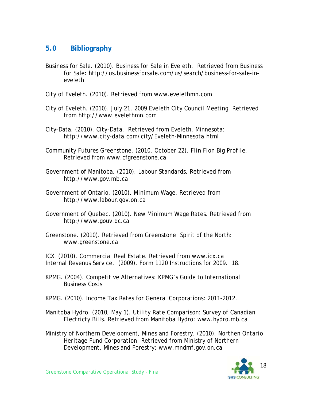## **5.0 Bibliography**

- Business for Sale. (2010). *Business for Sale in Eveleth*. Retrieved from Business for Sale: http://us.businessforsale.com/us/search/business-for-sale-ineveleth
- City of Eveleth. (2010). Retrieved from www.evelethmn.com
- City of Eveleth. (2010). July *21, 2009 Eveleth City Council Meeting*. Retrieved from http://www.evelethmn.com
- City-Data. (2010). *City-Data*. Retrieved from Eveleth, Minnesota: http://www.city-data.com/city/Eveleth-Minnesota.html
- Community Futures Greenstone. (2010, October 22). *Flin Flon Big Profile.*  Retrieved from www.cfgreenstone.ca
- Government of Manitoba. (2010). *Labour Standards*. Retrieved from http://www.gov.mb.ca
- Government of Ontario. (2010). *Minimum Wage*. Retrieved from http://www.labour.gov.on.ca
- Government of Quebec. (2010). *New Minimum Wage Rates.* Retrieved from http://www.gouv.qc.ca
- Greenstone. (2010). Retrieved from Greenstone: Spirit of the North: www.greenstone.ca

ICX. (2010). *Commercial Real Estate*. Retrieved from www.icx.ca Internal Revenus Service. (2009). Form 1120 Instructions for 2009. 18.

- KPMG. (2004). Competitive Alternatives: KPMG's Guide to International Business Costs
- KPMG. (2010). Income Tax Rates for General Corporations: 2011-2012.
- Manitoba Hydro. (2010, May 1). *Utility Rate Comparison: Survey of Canadian Electricty Bills*. Retrieved from Manitoba Hydro: www.hydro.mb.ca
- Ministry of Northern Development, Mines and Forestry. (2010). *Northen Ontario Heritage Fund Corporation*. Retrieved from Ministry of Northern Development, Mines and Forestry: www.mndmf.gov.on.ca